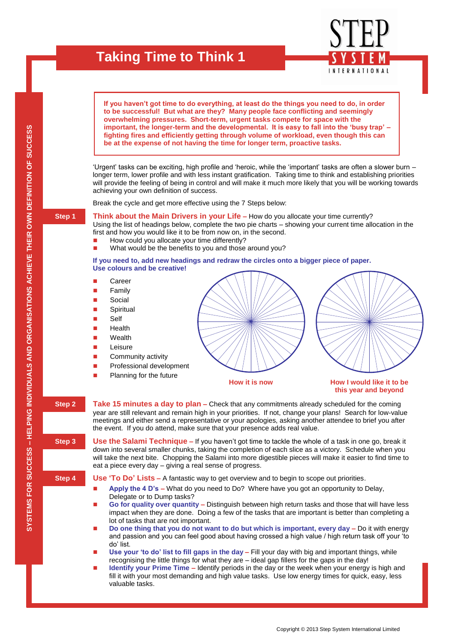

**– HELPING INDIVIDUALS AND ORGANISATIONS ACHIEVE THEIR OWN DEFINITION OF SUCCESS**

SYSTEMS FOR SUCCESS – HELPING INDIVIDUALS AND ORGANISATIONS ACHIEVE THEIR OWN DEFINITION OF SUCCESS

**SYSTEMS FOR SUCCESS** 

valuable tasks.